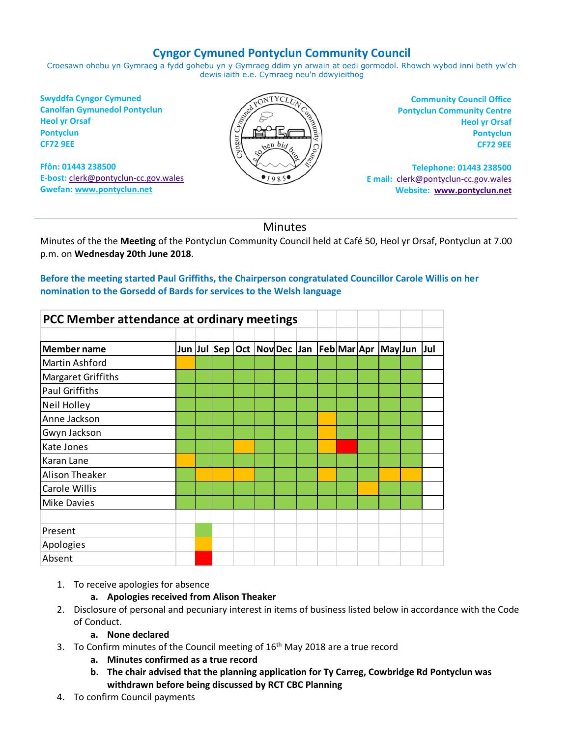# **Cyngor Cymuned Pontyclun Community Council**

Croesawn ohebu yn Gymraeg a fydd gohebu yn y Gymraeg ddim yn arwain at oedi gormodol. Rhowch wybod inni beth yw'ch dewis iaith e.e. Cymraeg neu'n ddwyieithog

**Swyddfa Cyngor Cymuned Canolfan Gymunedol Pontyclun Heol yr Orsaf Pontyclun CF72 9EE**

**Ffôn: 01443 238500 E-bost:** [clerk@pontyclun-cc.gov.wales](mailto:clerk@pontyclun-cc.gov.wales) **Gwefan[: www.pontyclun.net](http://www.pontyclun.net/)** 



**Community Council Office Pontyclun Community Centre Heol yr Orsaf Pontyclun CF72 9EE**

**Telephone: 01443 238500 E mail:** [clerk@pontyclun-cc.gov.wales](mailto:clerk@pontyclun-cc.gov.wales)  **Website: [www.pontyclun.net](http://www.pontyclun.net/)**

## **Minutes**

Minutes of the the **Meeting** of the Pontyclun Community Council held at Café 50, Heol yr Orsaf, Pontyclun at 7.00 p.m. on **Wednesday 20th June 2018**.

### **Before the meeting started Paul Griffiths, the Chairperson congratulated Councillor Carole Willis on her nomination to the Gorsedd of Bards for services to the Welsh language**

|                       | PCC Member attendance at ordinary meetings |  |  |  |  |  |  |  |  |                                                     |  |
|-----------------------|--------------------------------------------|--|--|--|--|--|--|--|--|-----------------------------------------------------|--|
| Member name           |                                            |  |  |  |  |  |  |  |  | Jun Jul Sep Oct Nov Dec Jan Feb Mar Apr May Jun Jul |  |
| Martin Ashford        |                                            |  |  |  |  |  |  |  |  |                                                     |  |
| Margaret Griffiths    |                                            |  |  |  |  |  |  |  |  |                                                     |  |
| <b>Paul Griffiths</b> |                                            |  |  |  |  |  |  |  |  |                                                     |  |
| Neil Holley           |                                            |  |  |  |  |  |  |  |  |                                                     |  |
| Anne Jackson          |                                            |  |  |  |  |  |  |  |  |                                                     |  |
| Gwyn Jackson          |                                            |  |  |  |  |  |  |  |  |                                                     |  |
| Kate Jones            |                                            |  |  |  |  |  |  |  |  |                                                     |  |
| Karan Lane            |                                            |  |  |  |  |  |  |  |  |                                                     |  |
| Alison Theaker        |                                            |  |  |  |  |  |  |  |  |                                                     |  |
| Carole Willis         |                                            |  |  |  |  |  |  |  |  |                                                     |  |
| <b>Mike Davies</b>    |                                            |  |  |  |  |  |  |  |  |                                                     |  |
|                       |                                            |  |  |  |  |  |  |  |  |                                                     |  |
| Present               |                                            |  |  |  |  |  |  |  |  |                                                     |  |
| Apologies             |                                            |  |  |  |  |  |  |  |  |                                                     |  |
| Absent                |                                            |  |  |  |  |  |  |  |  |                                                     |  |

1. To receive apologies for absence

### **a. Apologies received from Alison Theaker**

2. Disclosure of personal and pecuniary interest in items of business listed below in accordance with the Code of Conduct.

#### **a. None declared**

- 3. To Confirm minutes of the Council meeting of  $16<sup>th</sup>$  May 2018 are a true record
	- **a. Minutes confirmed as a true record**
	- **b. The chair advised that the planning application for Ty Carreg, Cowbridge Rd Pontyclun was withdrawn before being discussed by RCT CBC Planning**
- 4. To confirm Council payments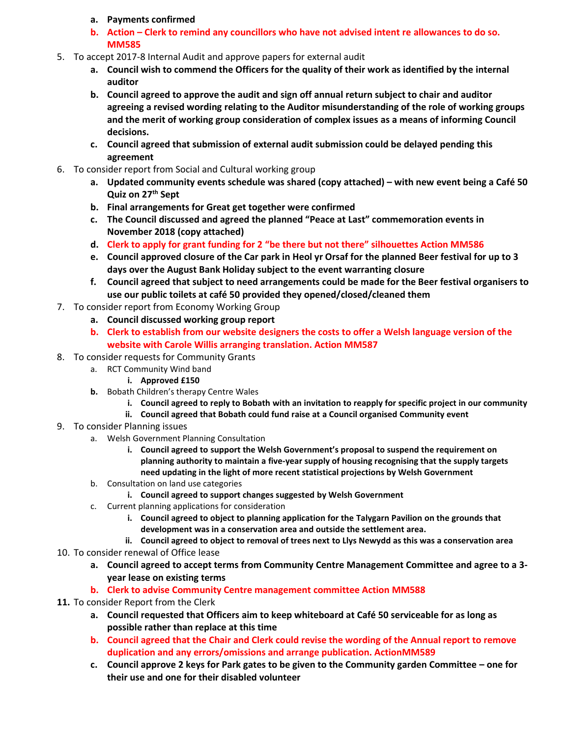- **a. Payments confirmed**
- **b. Action – Clerk to remind any councillors who have not advised intent re allowances to do so. MM585**
- 5. To accept 2017-8 Internal Audit and approve papers for external audit
	- **a. Council wish to commend the Officers for the quality of their work as identified by the internal auditor**
	- **b. Council agreed to approve the audit and sign off annual return subject to chair and auditor agreeing a revised wording relating to the Auditor misunderstanding of the role of working groups and the merit of working group consideration of complex issues as a means of informing Council decisions.**
	- **c. Council agreed that submission of external audit submission could be delayed pending this agreement**
- 6. To consider report from Social and Cultural working group
	- **a. Updated community events schedule was shared (copy attached) – with new event being a Café 50 Quiz on 27th Sept**
	- **b. Final arrangements for Great get together were confirmed**
	- **c. The Council discussed and agreed the planned "Peace at Last" commemoration events in November 2018 (copy attached)**
	- **d. Clerk to apply for grant funding for 2 "be there but not there" silhouettes Action MM586**
	- **e. Council approved closure of the Car park in Heol yr Orsaf for the planned Beer festival for up to 3 days over the August Bank Holiday subject to the event warranting closure**
	- **f. Council agreed that subject to need arrangements could be made for the Beer festival organisers to use our public toilets at café 50 provided they opened/closed/cleaned them**
- 7. To consider report from Economy Working Group
	- **a. Council discussed working group report**
	- **b. Clerk to establish from our website designers the costs to offer a Welsh language version of the website with Carole Willis arranging translation. Action MM587**
- 8. To consider requests for Community Grants
	- a. RCT Community Wind band
		- **i. Approved £150**
	- **b.** Bobath Children's therapy Centre Wales
		- **i. Council agreed to reply to Bobath with an invitation to reapply for specific project in our community**
		- **ii. Council agreed that Bobath could fund raise at a Council organised Community event**
- 9. To consider Planning issues
	- a. Welsh Government Planning Consultation
		- **i. Council agreed to support the Welsh Government's proposal to suspend the requirement on planning authority to maintain a five-year supply of housing recognising that the supply targets need updating in the light of more recent statistical projections by Welsh Government**
	- b. Consultation on land use categories
		- **i. Council agreed to support changes suggested by Welsh Government**
	- c. Current planning applications for consideration
		- **i. Council agreed to object to planning application for the Talygarn Pavilion on the grounds that development was in a conservation area and outside the settlement area.**
		- **ii. Council agreed to object to removal of trees next to Llys Newydd as this was a conservation area**
- 10. To consider renewal of Office lease
	- **a. Council agreed to accept terms from Community Centre Management Committee and agree to a 3 year lease on existing terms**
	- **b. Clerk to advise Community Centre management committee Action MM588**
- **11.** To consider Report from the Clerk
	- **a. Council requested that Officers aim to keep whiteboard at Café 50 serviceable for as long as possible rather than replace at this time**
	- **b. Council agreed that the Chair and Clerk could revise the wording of the Annual report to remove duplication and any errors/omissions and arrange publication. ActionMM589**
	- **c. Council approve 2 keys for Park gates to be given to the Community garden Committee – one for their use and one for their disabled volunteer**